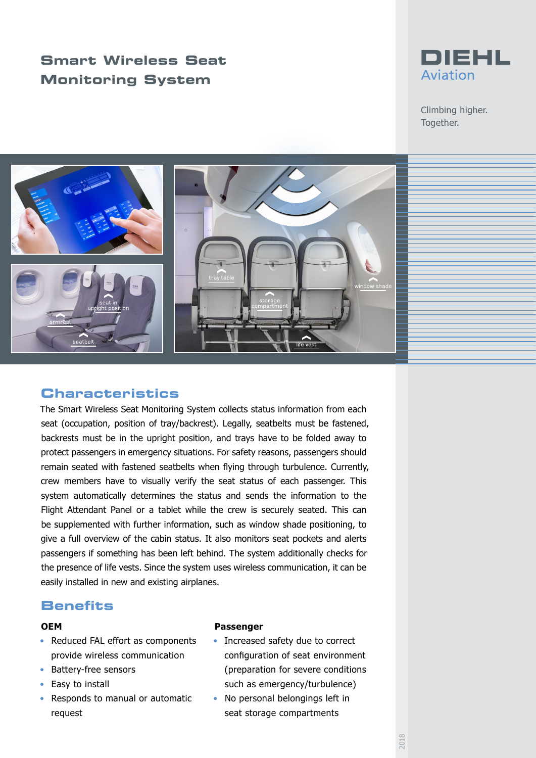# **Smart Wireless Seat Monitoring System**



Climbing higher. Together.



## **Characteristics**

The Smart Wireless Seat Monitoring System collects status information from each seat (occupation, position of tray/backrest). Legally, seatbelts must be fastened, backrests must be in the upright position, and trays have to be folded away to protect passengers in emergency situations. For safety reasons, passengers should remain seated with fastened seatbelts when flying through turbulence. Currently, crew members have to visually verify the seat status of each passenger. This system automatically determines the status and sends the information to the Flight Attendant Panel or a tablet while the crew is securely seated. This can be supplemented with further information, such as window shade positioning, to give a full overview of the cabin status. It also monitors seat pockets and alerts passengers if something has been left behind. The system additionally checks for the presence of life vests. Since the system uses wireless communication, it can be easily installed in new and existing airplanes.

## **Benefits**

#### **OEM**

- Reduced FAL effort as components provide wireless communication
- Battery-free sensors
- Easy to install
- Responds to manual or automatic request

#### **Passenger**

- Increased safety due to correct configuration of seat environment (preparation for severe conditions such as emergency/turbulence)
- No personal belongings left in seat storage compartments